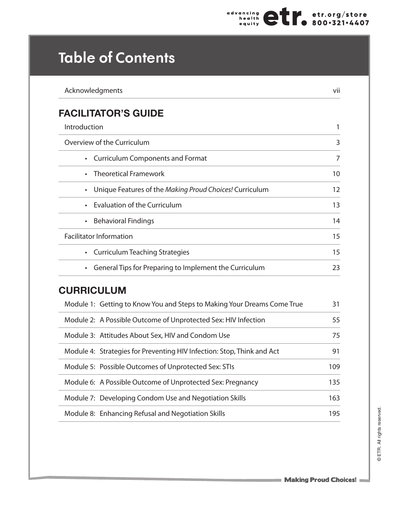## **Table of Contents**

| Acknowledgments                                                         | vii |
|-------------------------------------------------------------------------|-----|
| <b>FACILITATOR'S GUIDE</b>                                              |     |
| Introduction                                                            | 1   |
| Overview of the Curriculum                                              | 3   |
| <b>Curriculum Components and Format</b>                                 | 7   |
| <b>Theoretical Framework</b><br>$\bullet$                               | 10  |
| Unique Features of the Making Proud Choices! Curriculum<br>$\bullet$    | 12  |
| <b>Evaluation of the Curriculum</b><br>$\bullet$                        | 13  |
| <b>Behavioral Findings</b><br>$\bullet$                                 | 14  |
| <b>Facilitator Information</b>                                          | 15  |
| <b>Curriculum Teaching Strategies</b><br>$\bullet$                      | 15  |
| General Tips for Preparing to Implement the Curriculum                  | 23  |
| <b>CURRICULUM</b>                                                       |     |
| Module 1: Getting to Know You and Steps to Making Your Dreams Come True | 31  |
| Module 2: A Possible Outcome of Unprotected Sex: HIV Infection          | 55  |
| Module 3: Attitudes About Sex, HIV and Condom Use                       | 75  |
| Module 4: Strategies for Preventing HIV Infection: Stop, Think and Act  | 91  |
| Module 5: Possible Outcomes of Unprotected Sex: STIs                    | 109 |
| Module 6: A Possible Outcome of Unprotected Sex: Pregnancy              | 135 |
| Module 7: Developing Condom Use and Negotiation Skills                  | 163 |
| Module 8: Enhancing Refusal and Negotiation Skills                      | 195 |